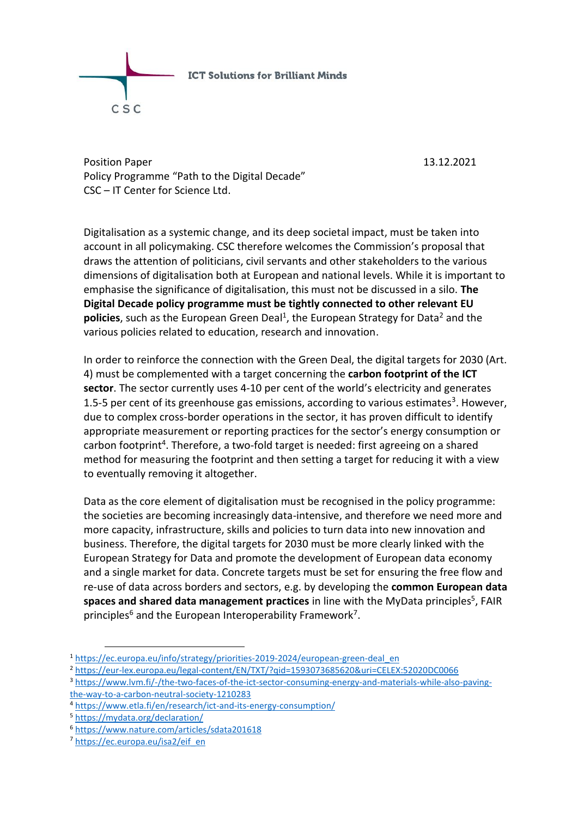

Position Paper 13.12.2021 Policy Programme "Path to the Digital Decade" CSC – IT Center for Science Ltd.

Digitalisation as a systemic change, and its deep societal impact, must be taken into account in all policymaking. CSC therefore welcomes the Commission's proposal that draws the attention of politicians, civil servants and other stakeholders to the various dimensions of digitalisation both at European and national levels. While it is important to emphasise the significance of digitalisation, this must not be discussed in a silo. **The Digital Decade policy programme must be tightly connected to other relevant EU**  policies, such as the European Green Deal<sup>1</sup>, the European Strategy for Data<sup>2</sup> and the various policies related to education, research and innovation.

In order to reinforce the connection with the Green Deal, the digital targets for 2030 (Art. 4) must be complemented with a target concerning the **carbon footprint of the ICT sector**. The sector currently uses 4-10 per cent of the world's electricity and generates 1.5-5 per cent of its greenhouse gas emissions, according to various estimates<sup>3</sup>. However, due to complex cross-border operations in the sector, it has proven difficult to identify appropriate measurement or reporting practices for the sector's energy consumption or carbon footprint<sup>4</sup>. Therefore, a two-fold target is needed: first agreeing on a shared method for measuring the footprint and then setting a target for reducing it with a view to eventually removing it altogether.

Data as the core element of digitalisation must be recognised in the policy programme: the societies are becoming increasingly data-intensive, and therefore we need more and more capacity, infrastructure, skills and policies to turn data into new innovation and business. Therefore, the digital targets for 2030 must be more clearly linked with the European Strategy for Data and promote the development of European data economy and a single market for data. Concrete targets must be set for ensuring the free flow and re-use of data across borders and sectors, e.g. by developing the **common European data**  spaces and shared data management practices in line with the MyData principles<sup>5</sup>, FAIR principles<sup>6</sup> and the European Interoperability Framework<sup>7</sup>.

-

<sup>1</sup> [https://ec.europa.eu/info/strategy/priorities-2019-2024/european-green-deal\\_en](https://ec.europa.eu/info/strategy/priorities-2019-2024/european-green-deal_en)

<sup>2</sup> <https://eur-lex.europa.eu/legal-content/EN/TXT/?qid=1593073685620&uri=CELEX:52020DC0066>

<sup>3</sup> [https://www.lvm.fi/-/the-two-faces-of-the-ict-sector-consuming-energy-and-materials-while-also-paving](https://www.lvm.fi/-/the-two-faces-of-the-ict-sector-consuming-energy-and-materials-while-also-paving-the-way-to-a-carbon-neutral-society-1210283)[the-way-to-a-carbon-neutral-society-1210283](https://www.lvm.fi/-/the-two-faces-of-the-ict-sector-consuming-energy-and-materials-while-also-paving-the-way-to-a-carbon-neutral-society-1210283)

<sup>4</sup> <https://www.etla.fi/en/research/ict-and-its-energy-consumption/>

<sup>5</sup> <https://mydata.org/declaration/>

<sup>6</sup> <https://www.nature.com/articles/sdata201618>

<sup>7</sup> [https://ec.europa.eu/isa2/eif\\_en](https://ec.europa.eu/isa2/eif_en)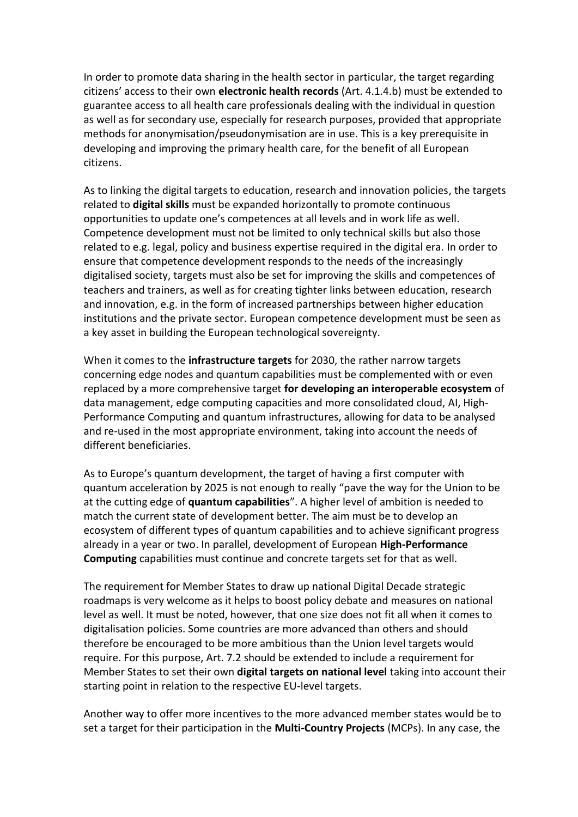In order to promote data sharing in the health sector in particular, the target regarding citizens' access to their own **electronic health records** (Art. 4.1.4.b) must be extended to guarantee access to all health care professionals dealing with the individual in question as well as for secondary use, especially for research purposes, provided that appropriate methods for anonymisation/pseudonymisation are in use. This is a key prerequisite in developing and improving the primary health care, for the benefit of all European citizens.

As to linking the digital targets to education, research and innovation policies, the targets related to **digital skills** must be expanded horizontally to promote continuous opportunities to update one's competences at all levels and in work life as well. Competence development must not be limited to only technical skills but also those related to e.g. legal, policy and business expertise required in the digital era. In order to ensure that competence development responds to the needs of the increasingly digitalised society, targets must also be set for improving the skills and competences of teachers and trainers, as well as for creating tighter links between education, research and innovation, e.g. in the form of increased partnerships between higher education institutions and the private sector. European competence development must be seen as a key asset in building the European technological sovereignty.

When it comes to the **infrastructure targets** for 2030, the rather narrow targets concerning edge nodes and quantum capabilities must be complemented with or even replaced by a more comprehensive target **for developing an interoperable ecosystem** of data management, edge computing capacities and more consolidated cloud, AI, High-Performance Computing and quantum infrastructures, allowing for data to be analysed and re-used in the most appropriate environment, taking into account the needs of different beneficiaries.

As to Europe's quantum development, the target of having a first computer with quantum acceleration by 2025 is not enough to really "pave the way for the Union to be at the cutting edge of **quantum capabilities**". A higher level of ambition is needed to match the current state of development better. The aim must be to develop an ecosystem of different types of quantum capabilities and to achieve significant progress already in a year or two. In parallel, development of European **High-Performance Computing** capabilities must continue and concrete targets set for that as well.

The requirement for Member States to draw up national Digital Decade strategic roadmaps is very welcome as it helps to boost policy debate and measures on national level as well. It must be noted, however, that one size does not fit all when it comes to digitalisation policies. Some countries are more advanced than others and should therefore be encouraged to be more ambitious than the Union level targets would require. For this purpose, Art. 7.2 should be extended to include a requirement for Member States to set their own **digital targets on national level** taking into account their starting point in relation to the respective EU-level targets.

Another way to offer more incentives to the more advanced member states would be to set a target for their participation in the **Multi-Country Projects** (MCPs). In any case, the